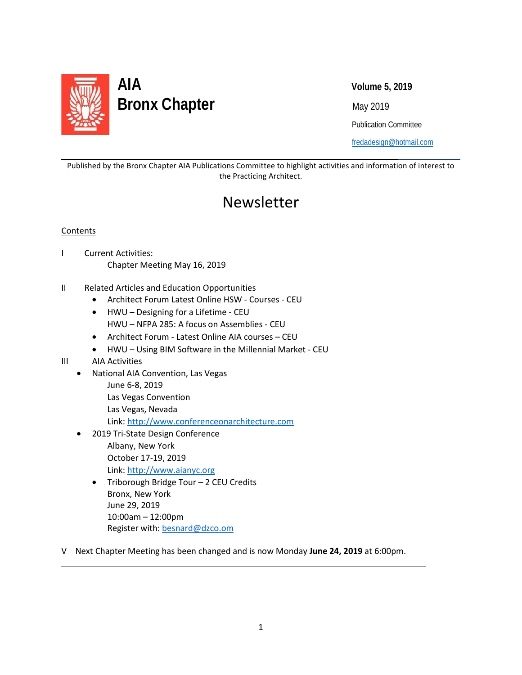

### **AIA Volume 5, 2019 Bronx Chapter** May 2019

Publication Committee

[fredadesign@hotmail.com](mailto:fredadesign@hotmail.com)

Published by the Bronx Chapter AIA Publications Committee to highlight activities and information of interest to the Practicing Architect.

### Newsletter

#### Contents

l

- I Current Activities: Chapter Meeting May 16, 2019
- II Related Articles and Education Opportunities
	- Architect Forum Latest Online HSW Courses CEU
	- HWU Designing for a Lifetime CEU HWU – NFPA 285: A focus on Assemblies - CEU
	- Architect Forum Latest Online AIA courses CEU
	- HWU Using BIM Software in the Millennial Market CEU
- III AIA Activities

L

- National AIA Convention, Las Vegas
	- June 6-8, 2019
	- Las Vegas Convention
	- Las Vegas, Nevada

Link: [http://www.conferenceonarchitecture.com](http://www.conferenceonarchitecture.com/)

- 2019 Tri-State Design Conference Albany, New York October 17-19, 2019 Link: [http://www.aianyc.org](http://www.aianyc.org/)
	- Triborough Bridge Tour 2 CEU Credits Bronx, New York June 29, 2019 10:00am – 12:00pm Register with: [besnard@dzco.om](mailto:besnard@dzco.om)
- V Next Chapter Meeting has been changed and is now Monday **June 24, 2019** at 6:00pm.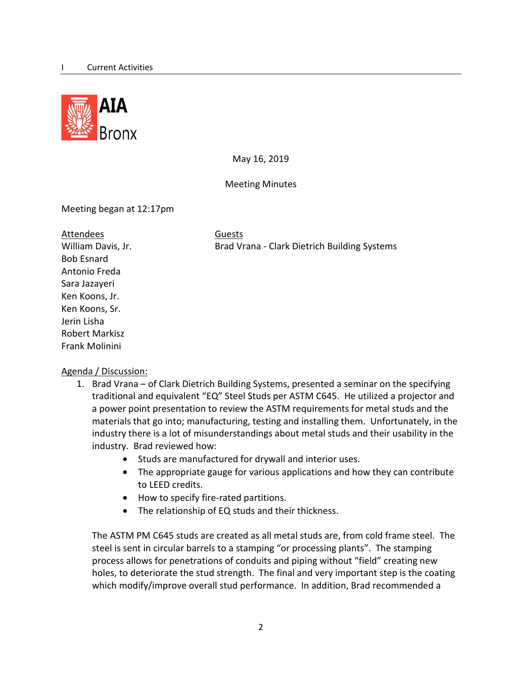

May 16, 2019

Meeting Minutes

Meeting began at 12:17pm

| Attendees             | <b>Guests</b>  |
|-----------------------|----------------|
| William Davis, Jr.    | <b>Brad Vr</b> |
| <b>Bob Esnard</b>     |                |
| Antonio Freda         |                |
| Sara Jazayeri         |                |
| Ken Koons, Jr.        |                |
| Ken Koons, Sr.        |                |
| Jerin Lisha           |                |
| <b>Robert Markisz</b> |                |
| Frank Molinini        |                |

Brad Vrana - Clark Dietrich Building Systems

#### Agenda / Discussion:

- 1. Brad Vrana of Clark Dietrich Building Systems, presented a seminar on the specifying traditional and equivalent "EQ" Steel Studs per ASTM C645. He utilized a projector and a power point presentation to review the ASTM requirements for metal studs and the materials that go into; manufacturing, testing and installing them. Unfortunately, in the industry there is a lot of misunderstandings about metal studs and their usability in the industry. Brad reviewed how:
	- Studs are manufactured for drywall and interior uses.
	- The appropriate gauge for various applications and how they can contribute to LEED credits.
	- How to specify fire-rated partitions.
	- The relationship of EQ studs and their thickness.

The ASTM PM C645 studs are created as all metal studs are, from cold frame steel. The steel is sent in circular barrels to a stamping "or processing plants". The stamping process allows for penetrations of conduits and piping without "field" creating new holes, to deteriorate the stud strength. The final and very important step is the coating which modify/improve overall stud performance. In addition, Brad recommended a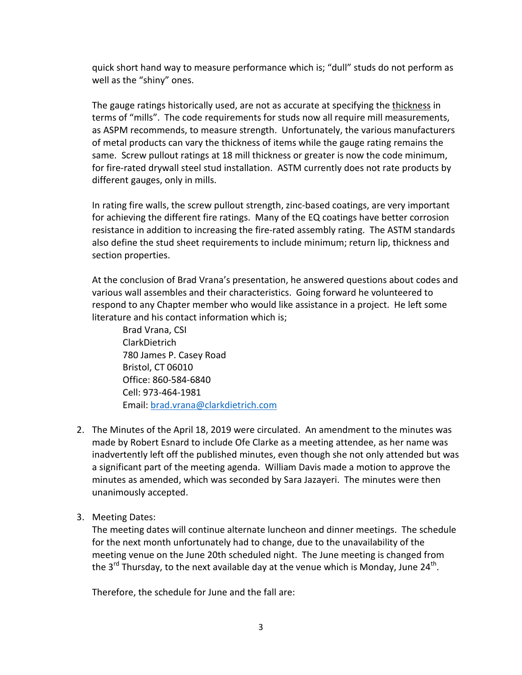quick short hand way to measure performance which is; "dull" studs do not perform as well as the "shiny" ones.

The gauge ratings historically used, are not as accurate at specifying the thickness in terms of "mills". The code requirements for studs now all require mill measurements, as ASPM recommends, to measure strength. Unfortunately, the various manufacturers of metal products can vary the thickness of items while the gauge rating remains the same. Screw pullout ratings at 18 mill thickness or greater is now the code minimum, for fire-rated drywall steel stud installation. ASTM currently does not rate products by different gauges, only in mills.

In rating fire walls, the screw pullout strength, zinc-based coatings, are very important for achieving the different fire ratings. Many of the EQ coatings have better corrosion resistance in addition to increasing the fire-rated assembly rating. The ASTM standards also define the stud sheet requirements to include minimum; return lip, thickness and section properties.

At the conclusion of Brad Vrana's presentation, he answered questions about codes and various wall assembles and their characteristics. Going forward he volunteered to respond to any Chapter member who would like assistance in a project. He left some literature and his contact information which is;

Brad Vrana, CSI ClarkDietrich 780 James P. Casey Road Bristol, CT 06010 Office: 860-584-6840 Cell: 973-464-1981 Email: [brad.vrana@clarkdietrich.com](mailto:brad.vrana@clarkdietrich.com)

- 2. The Minutes of the April 18, 2019 were circulated. An amendment to the minutes was made by Robert Esnard to include Ofe Clarke as a meeting attendee, as her name was inadvertently left off the published minutes, even though she not only attended but was a significant part of the meeting agenda. William Davis made a motion to approve the minutes as amended, which was seconded by Sara Jazayeri. The minutes were then unanimously accepted.
- 3. Meeting Dates:

The meeting dates will continue alternate luncheon and dinner meetings. The schedule for the next month unfortunately had to change, due to the unavailability of the meeting venue on the June 20th scheduled night. The June meeting is changed from the 3<sup>rd</sup> Thursday, to the next available day at the venue which is Monday, June 24<sup>th</sup>.

Therefore, the schedule for June and the fall are: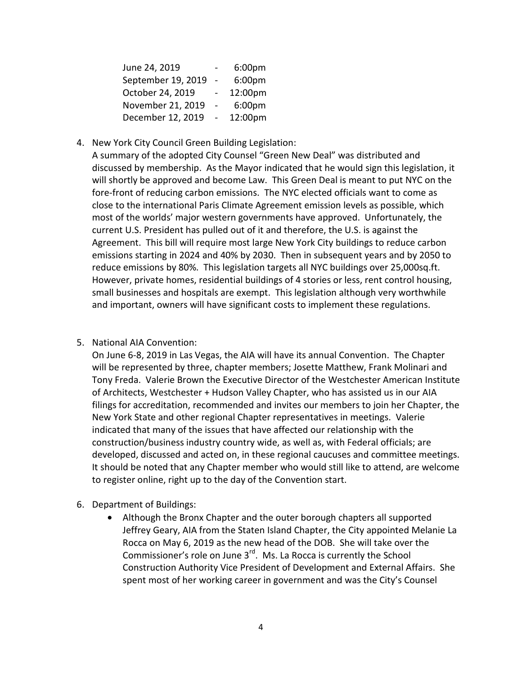| June 24, 2019      |                | 6:00 <sub>pm</sub> |
|--------------------|----------------|--------------------|
| September 19, 2019 | $\overline{a}$ | 6:00pm             |
| October 24, 2019   |                | 12:00pm            |
| November 21, 2019  |                | 6:00pm             |
| December 12, 2019  |                | 12:00pm            |

4. New York City Council Green Building Legislation:

A summary of the adopted City Counsel "Green New Deal" was distributed and discussed by membership. As the Mayor indicated that he would sign this legislation, it will shortly be approved and become Law. This Green Deal is meant to put NYC on the fore-front of reducing carbon emissions. The NYC elected officials want to come as close to the international Paris Climate Agreement emission levels as possible, which most of the worlds' major western governments have approved. Unfortunately, the current U.S. President has pulled out of it and therefore, the U.S. is against the Agreement. This bill will require most large New York City buildings to reduce carbon emissions starting in 2024 and 40% by 2030. Then in subsequent years and by 2050 to reduce emissions by 80%. This legislation targets all NYC buildings over 25,000sq.ft. However, private homes, residential buildings of 4 stories or less, rent control housing, small businesses and hospitals are exempt. This legislation although very worthwhile and important, owners will have significant costs to implement these regulations.

5. National AIA Convention:

On June 6-8, 2019 in Las Vegas, the AIA will have its annual Convention. The Chapter will be represented by three, chapter members; Josette Matthew, Frank Molinari and Tony Freda. Valerie Brown the Executive Director of the Westchester American Institute of Architects, Westchester + Hudson Valley Chapter, who has assisted us in our AIA filings for accreditation, recommended and invites our members to join her Chapter, the New York State and other regional Chapter representatives in meetings. Valerie indicated that many of the issues that have affected our relationship with the construction/business industry country wide, as well as, with Federal officials; are developed, discussed and acted on, in these regional caucuses and committee meetings. It should be noted that any Chapter member who would still like to attend, are welcome to register online, right up to the day of the Convention start.

- 6. Department of Buildings:
	- Although the Bronx Chapter and the outer borough chapters all supported Jeffrey Geary, AIA from the Staten Island Chapter, the City appointed Melanie La Rocca on May 6, 2019 as the new head of the DOB. She will take over the Commissioner's role on June  $3^{rd}$ . Ms. La Rocca is currently the School Construction Authority Vice President of Development and External Affairs. She spent most of her working career in government and was the City's Counsel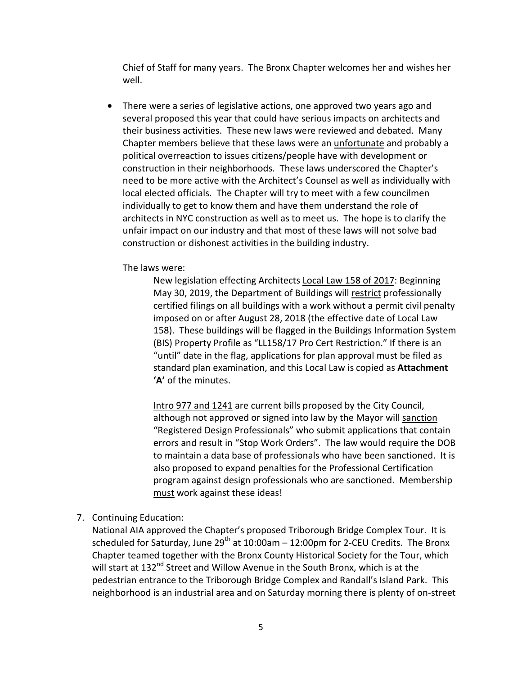Chief of Staff for many years. The Bronx Chapter welcomes her and wishes her well.

• There were a series of legislative actions, one approved two years ago and several proposed this year that could have serious impacts on architects and their business activities. These new laws were reviewed and debated. Many Chapter members believe that these laws were an unfortunate and probably a political overreaction to issues citizens/people have with development or construction in their neighborhoods. These laws underscored the Chapter's need to be more active with the Architect's Counsel as well as individually with local elected officials. The Chapter will try to meet with a few councilmen individually to get to know them and have them understand the role of architects in NYC construction as well as to meet us. The hope is to clarify the unfair impact on our industry and that most of these laws will not solve bad construction or dishonest activities in the building industry.

The laws were:

New legislation effecting Architects Local Law 158 of 2017: Beginning May 30, 2019, the Department of Buildings will restrict professionally certified filings on all buildings with a work without a permit civil penalty imposed on or after August 28, 2018 (the effective date of Local Law 158). These buildings will be flagged in the Buildings Information System (BIS) Property Profile as "LL158/17 Pro Cert Restriction." If there is an "until" date in the flag, applications for plan approval must be filed as standard plan examination, and this Local Law is copied as **Attachment 'A'** of the minutes.

Intro 977 and 1241 are current bills proposed by the City Council, although not approved or signed into law by the Mayor will sanction "Registered Design Professionals" who submit applications that contain errors and result in "Stop Work Orders". The law would require the DOB to maintain a data base of professionals who have been sanctioned. It is also proposed to expand penalties for the Professional Certification program against design professionals who are sanctioned. Membership must work against these ideas!

7. Continuing Education:

National AIA approved the Chapter's proposed Triborough Bridge Complex Tour. It is scheduled for Saturday, June 29<sup>th</sup> at 10:00am  $-$  12:00pm for 2-CEU Credits. The Bronx Chapter teamed together with the Bronx County Historical Society for the Tour, which will start at 132<sup>nd</sup> Street and Willow Avenue in the South Bronx, which is at the pedestrian entrance to the Triborough Bridge Complex and Randall's Island Park. This neighborhood is an industrial area and on Saturday morning there is plenty of on-street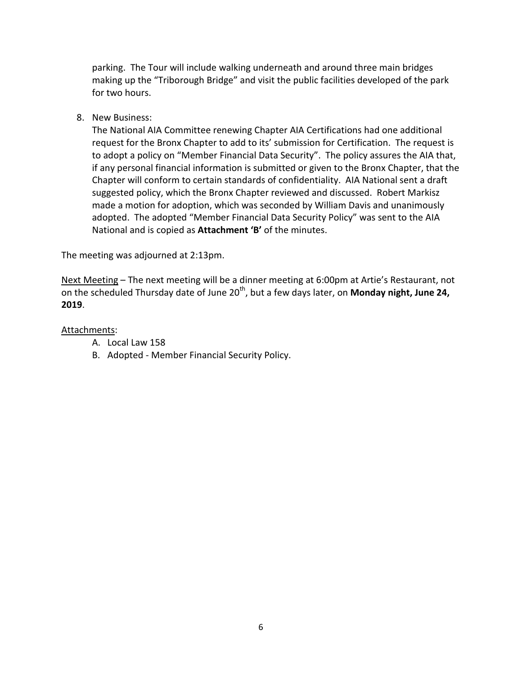parking. The Tour will include walking underneath and around three main bridges making up the "Triborough Bridge" and visit the public facilities developed of the park for two hours.

8. New Business:

The National AIA Committee renewing Chapter AIA Certifications had one additional request for the Bronx Chapter to add to its' submission for Certification. The request is to adopt a policy on "Member Financial Data Security". The policy assures the AIA that, if any personal financial information is submitted or given to the Bronx Chapter, that the Chapter will conform to certain standards of confidentiality. AIA National sent a draft suggested policy, which the Bronx Chapter reviewed and discussed. Robert Markisz made a motion for adoption, which was seconded by William Davis and unanimously adopted. The adopted "Member Financial Data Security Policy" was sent to the AIA National and is copied as **Attachment 'B'** of the minutes.

The meeting was adjourned at 2:13pm.

Next Meeting – The next meeting will be a dinner meeting at 6:00pm at Artie's Restaurant, not on the scheduled Thursday date of June 20<sup>th</sup>, but a few days later, on **Monday night, June 24, 2019**.

#### Attachments:

- A. Local Law 158
- B. Adopted Member Financial Security Policy.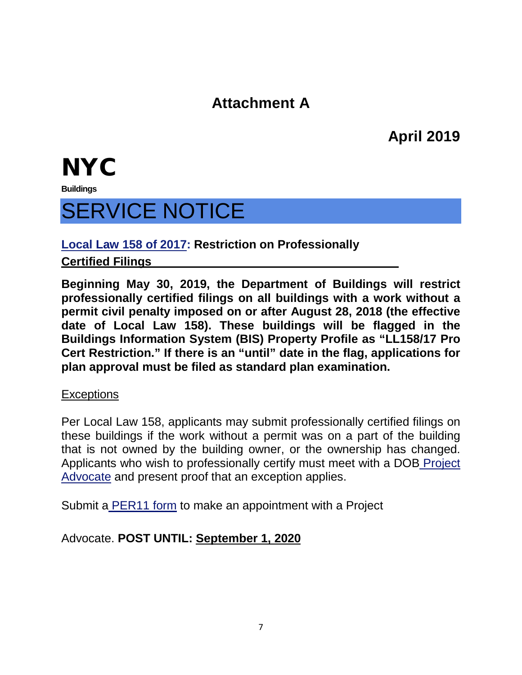### **Attachment A**

**April 2019**

## **NYC**

**Buildings**

## SERVICE NOTICE

**Local Law 158 of 2017 : Restriction on Professionally** 

### **Certified Filings**

**Beginning May 30, 2019, the Department of Buildings will restrict professionally certified filings on all buildings with a work without a permit civil penalty imposed on or after August 28, 2018 (the effective date of Local Law 158). These buildings will be flagged in the Buildings Information System (BIS) Property Profile as "LL158/17 Pro Cert Restriction." If there is an "until" date in the flag, applications for plan approval must be filed as standard plan examination.**

#### **Exceptions**

Per Local Law 158, applicants may submit professionally certified filings on these buildings if the work without a permit was on a part of the building that is not owned by the building owner, or the ownership has changed. Applicants who wish to professionally certify must meet with a DOB Project Advocate and present proof that an exception applies.

Submit a PER11 form to make an appointment with a Project

Advocate. **POST UNTIL: September 1, 2020**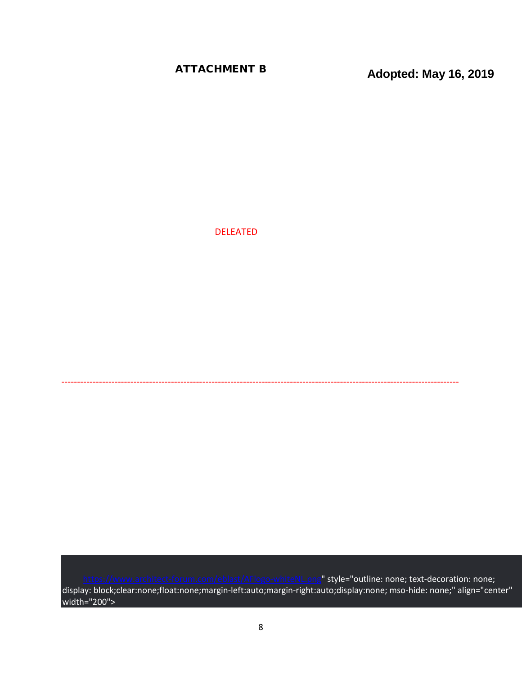**ATTACHMENT B Adopted: May 16, 2019** 

DELEATED

[https://www.architect-forum.com/eblast/AFlogo-whiteNL.png"](https://www.architect-forum.com/eblast/AFlogo-whiteNL.png) style="outline: none; text-decoration: none; display: block;clear:none;float:none;margin-left:auto;margin-right:auto;display:none; mso-hide: none;" align="center" width="200">

-------------------------------------------------------------------------------------------------------------------------------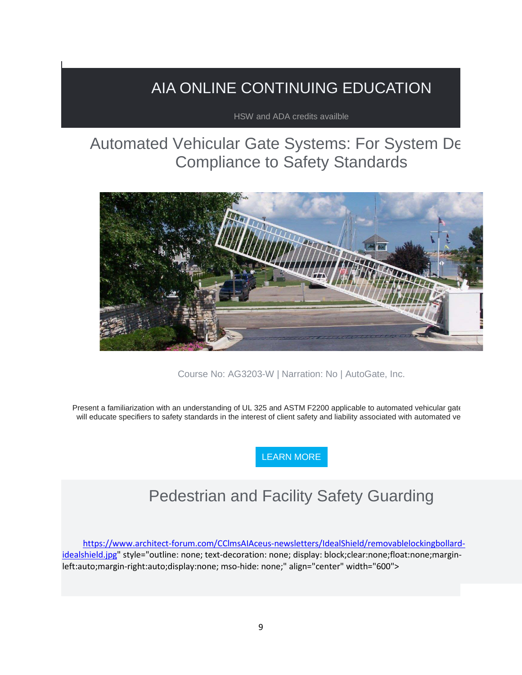### AIA ONLINE CONTINUING EDUCATION

HSW and ADA credits availble

### Automated Vehicular Gate Systems: For System De Compliance to Safety Standards



Course No: AG3203-W | Narration: No | AutoGate, Inc.

Present a familiarization with an understanding of UL 325 and ASTM F2200 applicable to automated vehicular gate will educate specifiers to safety standards in the interest of client safety and liability associated with automated ve

[LEARN MORE](https://linkprotect.cudasvc.com/url?a=http%3a%2f%2fnewsletter.architect-forum.com%3a8080%2ft.aspx%3fS%3d1%26ID%3d4674%26NL%3d2%26N%3d1158%26SI%3d2271%26URL%3dhttp%253a%252f%252flms.architect-forum.com%252fsubscribe.php%253fcourse_id%253d252&c=E,1,7DWD1mDPsw29D-isKIE2MXRorImHDT-w7CQU9L44nU1GEkhWrvv5awEbyleOV26cKj_hnBo6e2sLfzIQ-CfNa5v7Aq_V5MzmRuDZeCsQqt4GYB1h4iR3&typo=1)

### Pedestrian and Facility Safety Guarding

[https://www.architect-forum.com/CClmsAIAceus-newsletters/IdealShield/removablelockingbollard](https://www.architect-forum.com/CClmsAIAceus-newsletters/IdealShield/removablelockingbollard-idealshield.jpg)[idealshield.jpg"](https://www.architect-forum.com/CClmsAIAceus-newsletters/IdealShield/removablelockingbollard-idealshield.jpg) style="outline: none; text-decoration: none; display: block;clear:none;float:none;marginleft:auto;margin-right:auto;display:none; mso-hide: none;" align="center" width="600">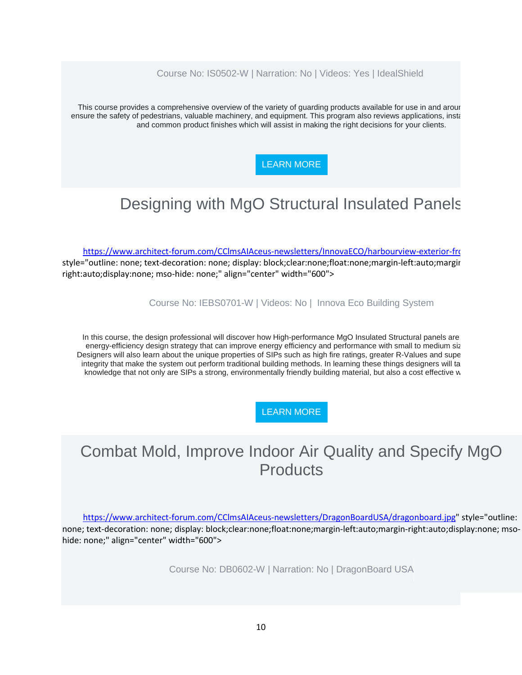#### Course No: IS0502-W | Narration: No | Videos: Yes | IdealShield

This course provides a comprehensive overview of the variety of guarding products available for use in and aroun ensure the safety of pedestrians, valuable machinery, and equipment. This program also reviews applications, insta and common product finishes which will assist in making the right decisions for your clients.

#### [LEARN MORE](https://linkprotect.cudasvc.com/url?a=http%3a%2f%2fnewsletter.architect-forum.com%3a8080%2ft.aspx%3fS%3d1%26ID%3d4674%26NL%3d2%26N%3d1158%26SI%3d2271%26URL%3dhttp%253a%252f%252flms.architect-forum.com%252fsubscribe.php%253fcourse_id%253d258&c=E,1,il0ukpeV7CXy3oTPvnYsiwB39ynBmx0hiu4cODegBZ7L5UEk-geQ2shoFxSqCqLPcWY5IxYqO2UqFvqEEyA5JIpTlfr5oMquZLPJfypbX5o,&typo=1)

### Designing with MgO Structural Insulated Panels

[https://www.architect-forum.com/CClmsAIAceus-newsletters/InnovaECO/harbourview-exterior-fro](https://www.architect-forum.com/CClmsAIAceus-newsletters/InnovaECO/harbourview-exterior-front-innova.jpg) style="outline: none; text-decoration: none; display: block;clear:none;float:none;margin-left:auto;margin right:auto;display:none; mso-hide: none;" align="center" width="600">

Course No: IEBS0701-W | Videos: No | Innova Eco Building System

In this course, the design professional will discover how High-performance MgO Insulated Structural panels are energy-efficiency design strategy that can improve energy efficiency and performance with small to medium siz Designers will also learn about the unique properties of SIPs such as high fire ratings, greater R-Values and supe integrity that make the system out perform traditional building methods. In learning these things designers will ta knowledge that not only are SIPs a strong, environmentally friendly building material, but also a cost effective w

#### [LEARN MORE](https://linkprotect.cudasvc.com/url?a=http%3a%2f%2fnewsletter.architect-forum.com%3a8080%2ft.aspx%3fS%3d1%26ID%3d4674%26NL%3d2%26N%3d1158%26SI%3d2271%26URL%3dhttp%253a%252f%252flms.architect-forum.com%252fsubscribe.php%253fcourse_id%253d260&c=E,1,04a2hbrEB_OFrDx521n5miC00qXnRdvRbJFJ9c3XUq6nR08jNuvYBRxltpxpU_D4JUkyxQjZnuUqen0S_he_d4sojbTpnCaxBqx9GeTAZrKJcHu8vw,,&typo=1)

### Combat Mold, Improve Indoor Air Quality and Specify MgO **Products**

[https://www.architect-forum.com/CClmsAIAceus-newsletters/DragonBoardUSA/dragonboard.jpg"](https://www.architect-forum.com/CClmsAIAceus-newsletters/DragonBoardUSA/dragonboard.jpg) style="outline: none; text-decoration: none; display: block;clear:none;float:none;margin-left:auto;margin-right:auto;display:none; msohide: none;" align="center" width="600">

Course No: DB0602-W | Narration: No | DragonBoard USA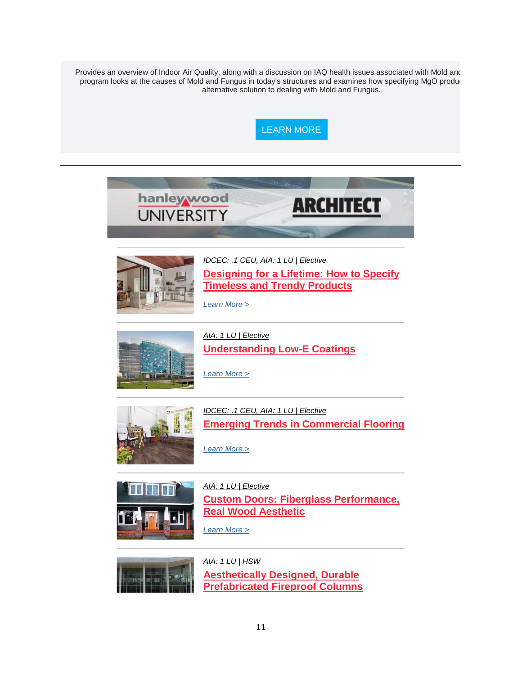Provides an overview of Indoor Air Quality, along with a discussion on IAQ health issues associated with Mold and program looks at the causes of Mold and Fungus in today's structures and examines how specifying MgO produc alternative solution to dealing with Mold and Fungus.







*[IDCEC: .1 CEU, AIA: 1 LU | Elective](https://linkprotect.cudasvc.com/url?a=http%3a%2f%2fclick1.communication.hanleywood.com%2frcchtnylcrvpwvknpkfvnpyvvypvrwkhscgcbstgltwn_zdbsmdzkrssdbwlzzz.html%3fa%3dbesnard%2540dzco.com%26b%3dHWU_EBMGHWUN721155_Update_Newsletter_052119&c=E,1,a5xaVo1Is6_pFxOjRugh4rJiVt0bltXPsC60f_wKyW7PhlqQ27q8_DBGGlrUSGQ6QDRhXv0JthT9FYLhWaFbbQpu4zarp6VZVXnWBJYPFelT8iXNL2yBXhpypZo,&typo=1)* **[Designing for a Lifetime: How to Specify](https://linkprotect.cudasvc.com/url?a=http%3a%2f%2fclick1.communication.hanleywood.com%2ftlwdmhsplzckjcbhkbfchksccskczjbdtlvlrtmvpmjb_zdbsmdzkrssdbwlzzz.html%3fa%3dbesnard%2540dzco.com%26b%3dHWU_EBMGHWUN721155_Update_Newsletter_052119&c=E,1,42JPA6PoBSPKdEvwtuQUQsIfkoZppUCziau-cfm6bmIjIV0gL4o_M-WdpRG9imvJ6CY3FBP_cv-0E0QkpUGoXHgUVrS6VrfvpmaVTtIq5mk_HPPnE0oYwABh5D3S&typo=1)  [Timeless and Trendy Products](https://linkprotect.cudasvc.com/url?a=http%3a%2f%2fclick1.communication.hanleywood.com%2ftlwdmhsplzckjcbhkbfchksccskczjbdtlvlrtmvpmjb_zdbsmdzkrssdbwlzzz.html%3fa%3dbesnard%2540dzco.com%26b%3dHWU_EBMGHWUN721155_Update_Newsletter_052119&c=E,1,42JPA6PoBSPKdEvwtuQUQsIfkoZppUCziau-cfm6bmIjIV0gL4o_M-WdpRG9imvJ6CY3FBP_cv-0E0QkpUGoXHgUVrS6VrfvpmaVTtIq5mk_HPPnE0oYwABh5D3S&typo=1)**

*[Learn More >](https://linkprotect.cudasvc.com/url?a=http%3a%2f%2fclick1.communication.hanleywood.com%2fymvpbqyvslgncgfqnfrgqnyggynglcfpwskstwbkvbck_zdbsmdzkrssdbwlzzz.html%3fa%3dbesnard%2540dzco.com%26b%3dHWU_EBMGHWUN721155_Update_Newsletter_052119&c=E,1,s9v3M0_4FJKd9mgzHTnUU51o7PdlkYyjUd8I-jHQHnLmkWyKSxEzqWI3tzC3zAWS9QM48vVlMVloxtLSbkE4SLkfv79HqS2CDGAw6KqE8mQEEaf3cSjGb_DICWA,&typo=1)*

*[Learn More >](https://linkprotect.cudasvc.com/url?a=http%3a%2f%2fclick1.communication.hanleywood.com%2fsjmzsvwpbrktlkcvtcfkvtwkkwtkrlczgbmbhgsmpslp_zdbsmdzkrssdbwlzzz.html%3fa%3dbesnard%2540dzco.com%26b%3dHWU_EBMGHWUN721155_Update_Newsletter_052119&c=E,1,6X2vLHgx8DiNQIaYk7a1tQqRbRCNVFFArOMh-ac3b3VA91Ezp5u6IWYx-omqFp93m0s-ndNID33XalHJQ8_ufrsBZe2MqQE2taRItwxPjLyglg,,&typo=1)*



*[AIA: 1 LU | Elective](https://linkprotect.cudasvc.com/url?a=http%3a%2f%2fclick1.communication.hanleywood.com%2fmwbzbympcqdlsdtyltgdylmddmldqstzjcncvjbnpbsb_zdbsmdzkrssdbwlzzz.html%3fa%3dbesnard%2540dzco.com%26b%3dHWU_EBMGHWUN721155_Update_Newsletter_052119&c=E,1,v8cq4sTpZfo-jn_hLcPhC7dlup69HLUNU7Xjh3HDhtr7QB8R7QeDmrl4gfuQM1Dhq-cWKRHXnv6BRte4eFXySFdvZ90sEb0DKrh8op9blsdIwc3iBbiS8ps,&typo=1)* **[Understanding Low-E Coatings](https://linkprotect.cudasvc.com/url?a=http%3a%2f%2fclick1.communication.hanleywood.com%2fgwtjlgsmcytdntkgdkqtgdsttsdtynkjfcrcpflrmlnn_zdbsmdzkrssdbwlzzz.html%3fa%3dbesnard%2540dzco.com%26b%3dHWU_EBMGHWUN721155_Update_Newsletter_052119&c=E,1,96gsfg0Co1w8q105bWrLoVD02vjRgOZE4adEiVUhzbusghg_D0HDUvMmsfnCFkbud-zVIM5AulHcyZLDy1KvHdgOHIaTS9lKanz5-grCFsxCy2gr8AcZ&typo=1)**



*[IDCEC: .1 CEU, AIA: 1 LU | Elective](https://linkprotect.cudasvc.com/url?a=http%3a%2f%2fclick1.communication.hanleywood.com%2fdspldhzjtpmfsmrhfrkmhfzmmzfmpsrlbtctwbdcjdjt_zdbsmdzkrssdbwlzzz.html%3fa%3dbesnard%2540dzco.com%26b%3dHWU_EBMGHWUN721155_Update_Newsletter_052119&c=E,1,8PRG8YkC4zvy1hIi5R9YJpzAs6lTgmmHOKADsS3RrB3PXTj6F1ioFWF70WVl-QBWaKToZrEJCVTYQQK1hNTJRP8m1ZX-J_l1Mt6mnTsaF3GX6blU3g,,&typo=1)* **[Emerging Trends in Commercial Flooring](https://linkprotect.cudasvc.com/url?a=http%3a%2f%2fclick1.communication.hanleywood.com%2fmsczbympcqdlsdtyltgdylmddmldqstzjcncvjbnpbpq_zdbsmdzkrssdbwlzzz.html%3fa%3dbesnard%2540dzco.com%26b%3dHWU_EBMGHWUN721155_Update_Newsletter_052119&c=E,1,MbPV-wHELVvjd-1BqWsrB-9rx6QC__BLsU_j8OS3_PPLkXbvzGWQSLFcVdwStSycwVaUeKSuD-E8KCoNvfcZdnK8Q5MGV88ltihHc4rL2jdxJ9u3tUdq-o7E3YwQ&typo=1)**

*[Learn More >](https://linkprotect.cudasvc.com/url?a=http%3a%2f%2fclick1.communication.hanleywood.com%2fvmrqjpdyfvgnmgkpnkbgpndggdngvmkqcfhfzcjhyjyp_zdbsmdzkrssdbwlzzz.html%3fa%3dbesnard%2540dzco.com%26b%3dHWU_EBMGHWUN721155_Update_Newsletter_052119&c=E,1,sOncFdO1tCTkMeDoUpaUNkGovZpVrBLGogrcLgLpn_6HV_fRWgGiT5Vzp1P4OW-eh5ct_fSJdF51rm1-P6CTnjGqkJieaUY6m_u6iruCP3icaPVMix0DsLNdZrzT&typo=1)*



*[AIA: 1 LU | Elective](https://linkprotect.cudasvc.com/url?a=http%3a%2f%2fclick1.communication.hanleywood.com%2ftmjdmhsplzckjcbhkbfchksccskczjbdtlvlrtmvpmpv_zdbsmdzkrssdbwlzzz.html%3fa%3dbesnard%2540dzco.com%26b%3dHWU_EBMGHWUN721155_Update_Newsletter_052119&c=E,1,iJEcuSeVoxjJG_JUPG38IWWt_YgAKjjDxytQgFKFISnqZODyMqa5x4fNhj6Jxk_pD2pUWJqRgEjxpbWi2EGfJYXnnwQZgpNUPrETD4RXR8Yd8tTxRqJwIxRy&typo=1)* **[Custom Doors: Fiberglass Performance,](https://linkprotect.cudasvc.com/url?a=http%3a%2f%2fclick1.communication.hanleywood.com%2frtthtnylcrvpwvknpkfvnpyvvypvrwkhscgcbstgltlv_zdbsmdzkrssdbwlzzz.html%3fa%3dbesnard%2540dzco.com%26b%3dHWU_EBMGHWUN721155_Update_Newsletter_052119&c=E,1,uI3MtMwiQUD7uuCsm6aRTfmBeh19M_TJ7DvTzNQZyEsUunx5mZTuXaLo9BQREcz0NmgN9Q8oecnbxc225ubARr59RGW4JZgQKzuIM7d9NG1ws94DhWS7ng,,&typo=1)  [Real Wood Aesthetic](https://linkprotect.cudasvc.com/url?a=http%3a%2f%2fclick1.communication.hanleywood.com%2frtthtnylcrvpwvknpkfvnpyvvypvrwkhscgcbstgltlv_zdbsmdzkrssdbwlzzz.html%3fa%3dbesnard%2540dzco.com%26b%3dHWU_EBMGHWUN721155_Update_Newsletter_052119&c=E,1,uI3MtMwiQUD7uuCsm6aRTfmBeh19M_TJ7DvTzNQZyEsUunx5mZTuXaLo9BQREcz0NmgN9Q8oecnbxc225ubARr59RGW4JZgQKzuIM7d9NG1ws94DhWS7ng,,&typo=1)**





*[AIA: 1 LU | HSW](https://linkprotect.cudasvc.com/url?a=http%3a%2f%2fclick1.communication.hanleywood.com%2fybfpbqyvslgncgfqnfrgqnyggynglcfpwskstwbkvbvv_zdbsmdzkrssdbwlzzz.html%3fa%3dbesnard%2540dzco.com%26b%3dHWU_EBMGHWUN721155_Update_Newsletter_052119&c=E,1,dFhaGFpn3VXxulVZayvBXMX9QWaq6Iw3e9NgcZ-V6yt2Sa2rE2PuROaKYoahLN8h5nQWPYd5-aeb7vJRxEj1C7JDNPopWzAkZX1ac9oZAbBdWYRvkV6u9LNhVww,&typo=1)* **[Aesthetically Designed, Durable](https://linkprotect.cudasvc.com/url?a=http%3a%2f%2fclick1.communication.hanleywood.com%2fnwqcrfgkqypnjptfnthpfngppgnpyjtcbqdqmbrdkjww_zdbsmdzkrssdbwlzzz.html%3fa%3dbesnard%2540dzco.com%26b%3dHWU_EBMGHWUN721155_Update_Newsletter_052119&c=E,1,Ne-pUzgH1OdjV2MxPupj75DtTXcMlIuCe0a8BrBaFWsL_dKTl5VyANc71hUoPG5A20PY1s6_iRp8E6Cu3ue9aB0mhwNDEqH_pv27ArjO1118pEaQ-Q,,&typo=1)  [Prefabricated Fireproof Columns](https://linkprotect.cudasvc.com/url?a=http%3a%2f%2fclick1.communication.hanleywood.com%2fnwqcrfgkqypnjptfnthpfngppgnpyjtcbqdqmbrdkjww_zdbsmdzkrssdbwlzzz.html%3fa%3dbesnard%2540dzco.com%26b%3dHWU_EBMGHWUN721155_Update_Newsletter_052119&c=E,1,Ne-pUzgH1OdjV2MxPupj75DtTXcMlIuCe0a8BrBaFWsL_dKTl5VyANc71hUoPG5A20PY1s6_iRp8E6Cu3ue9aB0mhwNDEqH_pv27ArjO1118pEaQ-Q,,&typo=1)**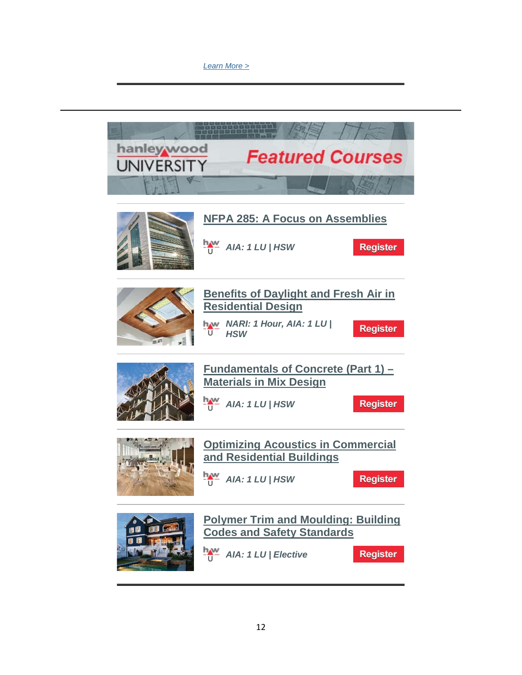#### *[Learn More >](https://linkprotect.cudasvc.com/url?a=http%3a%2f%2fclick1.communication.hanleywood.com%2ftwwdmhsplzckjcbhkbfchksccskczjbdtlvlrtmvpjwl_zdbsmdzkrssdbwlzzz.html%3fa%3dbesnard%2540dzco.com%26b%3dHWU_EBMGHWUN721155_Update_Newsletter_052119&c=E,1,9HIawyIElmzUxBxGzr09M1bDBQK5HMSGyVVtEAJk_1_wiKwd0C0Tlo4C9QQXvCqTPMzo9TswEr7ORJCK2ldmX9drhLFgHK3NQtMC6K6PKa2cZ5W0n6yY&typo=1)*

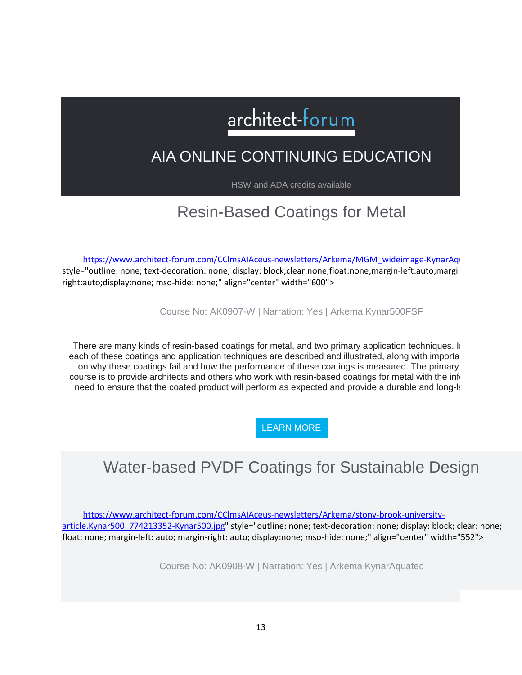# architect-forum

### AIA ONLINE CONTINUING EDUCATION

HSW and ADA credits available

### Resin-Based Coatings for Metal

[https://www.architect-forum.com/CClmsAIAceus-newsletters/Arkema/MGM\\_wideimage-KynarAqu](https://www.architect-forum.com/CClmsAIAceus-newsletters/Arkema/MGM_wideimage-KynarAquatec.jpg)

style="outline: none; text-decoration: none; display: block;clear:none;float:none;margin-left:auto;margin right:auto;display:none; mso-hide: none;" align="center" width="600">

Course No: AK0907-W | Narration: Yes | Arkema Kynar500FSF

There are many kinds of resin-based coatings for metal, and two primary application techniques. In each of these coatings and application techniques are described and illustrated, along with importal on why these coatings fail and how the performance of these coatings is measured. The primary course is to provide architects and others who work with resin-based coatings for metal with the info need to ensure that the coated product will perform as expected and provide a durable and long- $k$ 

[LEARN MORE](https://linkprotect.cudasvc.com/url?a=http%3a%2f%2fnewsletter.architect-forum.com%3a8080%2ft.aspx%3fS%3d1%26ID%3d4673%26NL%3d2%26N%3d1157%26SI%3d2271%26URL%3dhttp%253a%252f%252flms.architect-forum.com%252fsubscribe.php%253fcourse_id%253d265&c=E,1,J05IO2uVb-sWByYMEXNhytO_3zrIvm2cg6pYK914aLQOe8T1afJAQSQwzY049Jp6ug9Bolq61Dw7lR7KkOO2SdIr17EpLTdMPHkovzKTdHK4eeATIp8,&typo=1)

### Water-based PVDF Coatings for Sustainable Design

[https://www.architect-forum.com/CClmsAIAceus-newsletters/Arkema/stony-brook-university](https://www.architect-forum.com/CClmsAIAceus-newsletters/Arkema/stony-brook-university-article.Kynar500_774213352-Kynar500.jpg)[article.Kynar500\\_774213352-Kynar500.jpg"](https://www.architect-forum.com/CClmsAIAceus-newsletters/Arkema/stony-brook-university-article.Kynar500_774213352-Kynar500.jpg) style="outline: none; text-decoration: none; display: block; clear: none; float: none; margin-left: auto; margin-right: auto; display:none; mso-hide: none;" align="center" width="552">

Course No: AK0908-W | Narration: Yes | Arkema KynarAquatec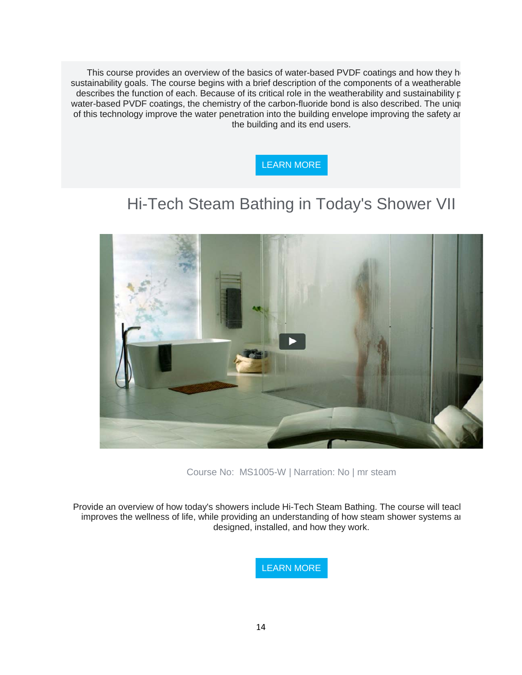This course provides an overview of the basics of water-based PVDF coatings and how they he sustainability goals. The course begins with a brief description of the components of a weatherable describes the function of each. Because of its critical role in the weatherability and sustainability p water-based PVDF coatings, the chemistry of the carbon-fluoride bond is also described. The uniqu of this technology improve the water penetration into the building envelope improving the safety an the building and its end users.



### Hi-Tech Steam Bathing in Today's Shower VII



Course No: MS1005-W | Narration: No | mr steam

Provide an overview of how today's showers include Hi-Tech Steam Bathing. The course will teach improves the wellness of life, while providing an understanding of how steam shower systems ar designed, installed, and how they work.

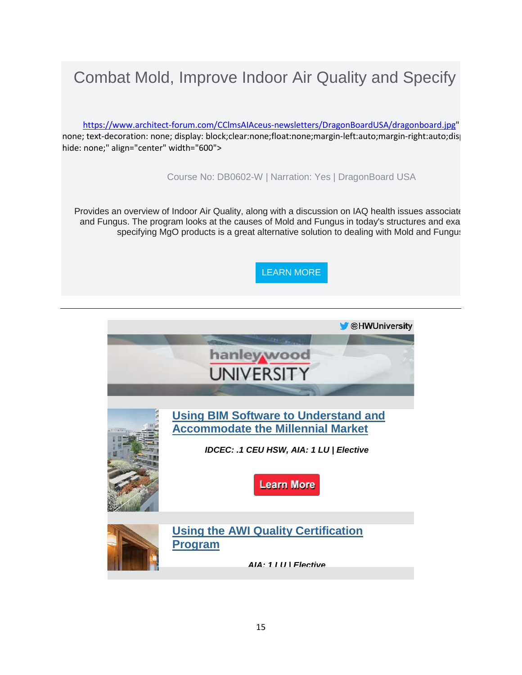### Combat Mold, Improve Indoor Air Quality and Specify

[https://www.architect-forum.com/CClmsAIAceus-newsletters/DragonBoardUSA/dragonboard.jpg"](https://www.architect-forum.com/CClmsAIAceus-newsletters/DragonBoardUSA/dragonboard.jpg) none; text-decoration: none; display: block;clear:none;float:none;margin-left:auto;margin-right:auto;disp hide: none;" align="center" width="600">

Course No: DB0602-W | Narration: Yes | DragonBoard USA

Provides an overview of Indoor Air Quality, along with a discussion on IAQ health issues associate and Fungus. The program looks at the causes of Mold and Fungus in today's structures and exa specifying MgO products is a great alternative solution to dealing with Mold and Fungus